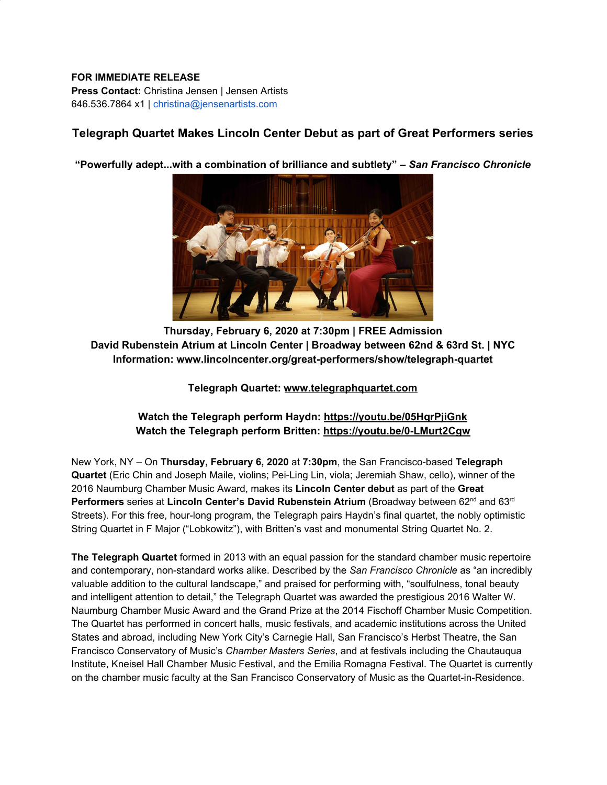## **FOR IMMEDIATE RELEASE Press Contact:** Christina Jensen | Jensen Artists 646.536.7864 x1 | christina@jensenartists.com

## **Telegraph Quartet Makes Lincoln Center Debut as part of Great Performers series**

**"Powerfully adept...with a combination of brilliance and subtlety" –** *San Francisco Chronicle*



**Thursday, February 6, 2020 at 7:30pm | FREE Admission David Rubenstein Atrium at Lincoln Center | Broadway between 62nd & 63rd St. | NYC Information: [www.lincolncenter.org/great-performers/show/telegraph-quartet](https://u7061146.ct.sendgrid.net/wf/click?upn=84Em28S1K9SvtzcUtu04El5tWTVjTbAUYtvP3WareYmv26Y-2BMjwaT2yQEfji3pUpW3g3Q3-2FLSnYdt10QeIumAaAr-2FI-2BZ-2FCKTot0naoGPjAU-3D_DruDjhchMBr5xQkz3h1qcOnjZc-2BCsAVhraQ7DxYhbA2-2BHLQf-2BHKWaWi2FTM7QHo-2Fd7eCMDRMAhfd2mcWSs-2FpzNW9MmuPwV7rH-2FbDd7DdSSZ-2FnteQyRCdP-2Fh2FIRHwpNmu90T9rCs5b9Da1ibNfkWeJNC21WS6eBukSq-2F4PYe8wE7GrDjRBfEXF5twNe2hsBwwqpP51o60a0tjdi2mU61GhXbVV3-2BzQmuxkDD1BOJfLlRr3PC4T50pih0qHqlyK3tL-2FE0-2B4zo4JyPZuOm2DAo0ZDCnLFsYuHWeCw6GRpokL-2BerrRug5r1IR02Y7ODqD0kx8z2g-2BLgkT0vLQnkeOriuULj6eA5KcX3cNvA-2FJqXtH8-3D)**

**Telegraph Quartet: [www.telegraphquartet.com](https://u7061146.ct.sendgrid.net/wf/click?upn=G62jSYfZdO-2F12d8lSllQB4C8yhJVJ7ZFdluzkVcLeSjndKM-2F4Q4eNN2j5L8eoTW3T6ll438YZL1XU9dOinwZmN4gKTrT6ZRo3-2F-2BQG1P7XOkGPVr69XkE5W89S7PpOf4togO-2BGuNmyyqS0ohbNQwouJkuyySX60VwWEWR989BxIKTEFl2L25qNsaqioT-2FRgsiGrIOy5-2B1cJF1DlPgcX7pmjGaY-2BAxkxdkHxZXUKSTFrZb-2BoUO1MqLveoEnd0DF2RaJZ70f4D6Mlf-2BUO4roUnl2qEgZo9DVr-2FE-2BaCm-2BRorlFZ2F-2F46u-2FZXnFc6ITafAdWBEq6uhyCUlM-2FEb67m9-2FbBaeTIK6WE49pY9aI1Ehko-2BDyAgJGwTYYjq8JqgwHjP1sDodDP5bcTYdwo54fxR882-2BvuY3Y5YxHJZ0ksXcrIKCPQkUAoK9w95erGce0NVyEceUbM9GH0Lfc9CWGJhVJWM2jyk6ZFcjBj1SFwITXK5ly9NIrz9LHqo85E9nyof9AvAFs6zSePyy9JTKUPqc2eXjX932QnHRkpFEnz4gJfDC13Nh-2FBTWvYMPZ7bew5-2FhK97o5FWZwRhTrIY7GzpOBlg7fdCAk-2BcN7r15FioR-2BXvrPlSEF3Z88k-2B6dGuGoOuXvmcaIiJPdrO5QBHo5YPAagMEy2UmthREDz1rHtmchaTXle2xMjUZDUNGBs2Pvhbb8pQ_DruDjhchMBr5xQkz3h1qcOnjZc-2BCsAVhraQ7DxYhbA2-2BHLQf-2BHKWaWi2FTM7QHo-2Fd7eCMDRMAhfd2mcWSs-2FpzNW9MmuPwV7rH-2FbDd7DdSSZ-2FnteQyRCdP-2Fh2FIRHwpNmu90T9rCs5b9Da1ibNfkWeJNC21WS6eBukSq-2F4PYe8wE7GrDjRBfEXF5twNe2hsBwwqpP51o60a0tjdi2mU61GgA4yw2y50geb7hND0NhhhkPxVnA8wfd4Ky2oceJgmCcxIo-2Btdhmc5ECbEh-2BAEnoEpsscnlANQ5c982s4341DJ1JT02ynRduhH8ePAoUgCzh8LUGjNh3Epz1YvsPOvhPsyfbAxZnDsLhz3dlvcWPHeg-3D)**

## **Watch the Telegraph perform Haydn: [https://youtu.be/05HqrPjiGnk](https://u7061146.ct.sendgrid.net/wf/click?upn=G62jSYfZdO-2F12d8lSllQB5f1hf21Kf9FCmLaDCRbwALHSc2Do3jIZfkwgG2hI54d_DruDjhchMBr5xQkz3h1qcOnjZc-2BCsAVhraQ7DxYhbA2-2BHLQf-2BHKWaWi2FTM7QHo-2Fd7eCMDRMAhfd2mcWSs-2FpzNW9MmuPwV7rH-2FbDd7DdSSZ-2FnteQyRCdP-2Fh2FIRHwpNmu90T9rCs5b9Da1ibNfkWeJNC21WS6eBukSq-2F4PYe8wE7GrDjRBfEXF5twNe2hsBwwqpP51o60a0tjdi2mU61GvcdCSqeXARbI-2ByCKdZthoTArhUFU6eIXNB9pimZdj1r-2Fl-2Bg-2FHyOOTHOwg7mvZ46JhLCpBXPkrDiyaV3IWi4S0-2FfsDF5xbCyT56tOo0bCrF596sR9BvVrsN-2FxH2SPVZGZIOrHi2ALaF5sbeJqiAVK-2B0-3D) Watch the Telegraph perform Britten: [https://youtu.be/0-LMurt2Cgw](https://u7061146.ct.sendgrid.net/wf/click?upn=G62jSYfZdO-2F12d8lSllQB2ofvSuKOgy6EopJf7LcSPm4SpwUNM8B2WLdahQCilHh_DruDjhchMBr5xQkz3h1qcOnjZc-2BCsAVhraQ7DxYhbA2-2BHLQf-2BHKWaWi2FTM7QHo-2Fd7eCMDRMAhfd2mcWSs-2FpzNW9MmuPwV7rH-2FbDd7DdSSZ-2FnteQyRCdP-2Fh2FIRHwpNmu90T9rCs5b9Da1ibNfkWeJNC21WS6eBukSq-2F4PYe8wE7GrDjRBfEXF5twNe2hsBwwqpP51o60a0tjdi2mU61Gk-2BL4-2FTKo5ie-2BLYoSYrxXT5sMmw7z1YK45vHb1aBLUWCcu-2BBwCbmFFbULRHXG8TIWcmB7SR-2BlPsfFNdKB-2FEDAKFNfKcI8FkeEP8x36XZEyS-2FzZkJz1L8tZZgX1Z22gCvNUYqiAo7JbTxO3vEkD7t9bo-3D)**

New York, NY – On **Thursday, February 6, 2020** at **7:30pm**, the San Francisco-based **Telegraph Quartet** (Eric Chin and Joseph Maile, violins; Pei-Ling Lin, viola; Jeremiah Shaw, cello), winner of the 2016 Naumburg Chamber Music Award, makes its **Lincoln Center debut** as part of the **Great Performers** series at Lincoln Center's David Rubenstein Atrium (Broadway between 62<sup>nd</sup> and 63<sup>rd</sup> Streets). For this free, hour-long program, the Telegraph pairs Haydn's final quartet, the nobly optimistic String Quartet in F Major ("Lobkowitz"), with Britten's vast and monumental String Quartet No. 2.

**The Telegraph Quartet** formed in 2013 with an equal passion for the standard chamber music repertoire and contemporary, non-standard works alike. Described by the *San Francisco Chronicle* as "an incredibly valuable addition to the cultural landscape," and praised for performing with, "soulfulness, tonal beauty and intelligent attention to detail," the Telegraph Quartet was awarded the prestigious 2016 Walter W. Naumburg Chamber Music Award and the Grand Prize at the 2014 Fischoff Chamber Music Competition. The Quartet has performed in concert halls, music festivals, and academic institutions across the United States and abroad, including New York City's Carnegie Hall, San Francisco's Herbst Theatre, the San Francisco Conservatory of Music's *Chamber Masters Series*, and at festivals including the Chautauqua Institute, Kneisel Hall Chamber Music Festival, and the Emilia Romagna Festival. The Quartet is currently on the chamber music faculty at the San Francisco Conservatory of Music as the Quartet-in-Residence.